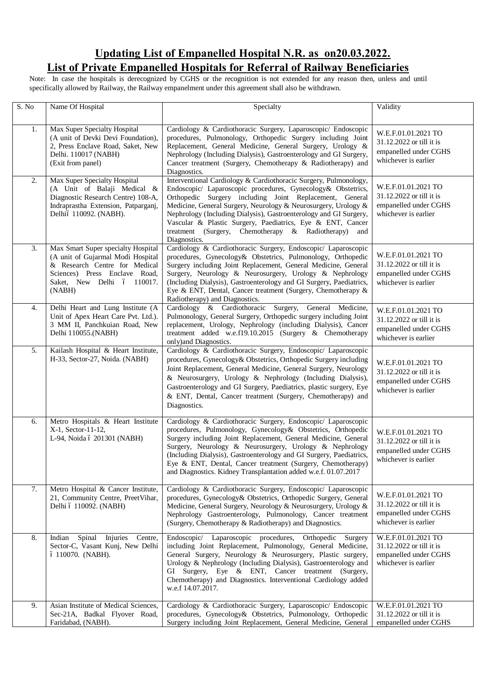# **Updating List of Empanelled Hospital N.R. as on20.03.2022. List of Private Empanelled Hospitals for Referral of Railway Beneficiaries**

Note: In case the hospitals is derecognized by CGHS or the recognition is not extended for any reason then, unless and until specifically allowed by Railway, the Railway empanelment under this agreement shall also be withdrawn.

| $\overline{S}$ . No | Name Of Hospital                                                                                                                                                                  | Specialty                                                                                                                                                                                                                                                                                                                                                                                                                                                                   | Validity                                                                                         |
|---------------------|-----------------------------------------------------------------------------------------------------------------------------------------------------------------------------------|-----------------------------------------------------------------------------------------------------------------------------------------------------------------------------------------------------------------------------------------------------------------------------------------------------------------------------------------------------------------------------------------------------------------------------------------------------------------------------|--------------------------------------------------------------------------------------------------|
|                     |                                                                                                                                                                                   |                                                                                                                                                                                                                                                                                                                                                                                                                                                                             |                                                                                                  |
| 1.                  | Max Super Specialty Hospital<br>(A unit of Devki Devi Foundation),<br>2, Press Enclave Road, Saket, New<br>Delhi. 110017 (NABH)<br>(Exit from panel)                              | Cardiology & Cardiothoracic Surgery, Laparoscopic/ Endoscopic<br>procedures, Pulmonology, Orthopedic Surgery including Joint<br>Replacement, General Medicine, General Surgery, Urology &<br>Nephrology (Including Dialysis), Gastroenterology and GI Surgery,<br>Cancer treatment (Surgery, Chemotherapy & Radiotherapy) and<br>Diagnostics.                                                                                                                               | W.E.F.01.01.2021 TO<br>31.12.2022 or till it is<br>empanelled under CGHS<br>whichever is earlier |
| 2.                  | Max Super Specialty Hospital<br>(A Unit of Balaji Medical &<br>Diagnostic Research Centre) 108-A,<br>Indraprastha Extension, Patparganj,<br>Delhió 110092. (NABH).                | Interventional Cardiology & Cardiothoracic Surgery, Pulmonology,<br>Endoscopic/ Laparoscopic procedures, Gynecology& Obstetrics,<br>Orthopedic Surgery including Joint Replacement, General<br>Medicine, General Surgery, Neurology & Neurosurgery, Urology &<br>Nephrology (Including Dialysis), Gastroenterology and GI Surgery,<br>Vascular & Plastic Surgery, Paediatrics, Eye & ENT, Cancer<br>treatment (Surgery, Chemotherapy & Radiotherapy)<br>and<br>Diagnostics. | W.E.F.01.01.2021 TO<br>31.12.2022 or till it is<br>empanelled under CGHS<br>whichever is earlier |
| 3.                  | Max Smart Super specialty Hospital<br>(A unit of Gujarmal Modi Hospital<br>& Research Centre for Medical<br>Sciences) Press Enclave Road,<br>Saket, New Delhi ó 110017.<br>(NABH) | Cardiology & Cardiothoracic Surgery, Endoscopic/ Laparoscopic<br>procedures, Gynecology& Obstetrics, Pulmonology, Orthopedic<br>Surgery including Joint Replacement, General Medicine, General<br>Surgery, Neurology & Neurosurgery, Urology & Nephrology<br>(Including Dialysis), Gastroenterology and GI Surgery, Paediatrics,<br>Eye & ENT, Dental, Cancer treatment (Surgery, Chemotherapy &<br>Radiotherapy) and Diagnostics.                                          | W.E.F.01.01.2021 TO<br>31.12.2022 or till it is<br>empanelled under CGHS<br>whichever is earlier |
| 4.                  | Delhi Heart and Lung Institute (A<br>Unit of Apex Heart Care Pvt. Ltd.).<br>3 MM II, Panchkuian Road, New<br>Delhi 110055.(NABH)                                                  | Cardiology & Cardiothoracic Surgery, General Medicine,<br>Pulmonology, General Surgery, Orthopedic surgery including Joint<br>replacement, Urology, Nephrology (including Dialysis), Cancer<br>treatment added w.e.f19.10.2015 (Surgery & Chemotherapy<br>only) and Diagnostics.                                                                                                                                                                                            | W.E.F.01.01.2021 TO<br>31.12.2022 or till it is<br>empanelled under CGHS<br>whichever is earlier |
| 5.                  | Kailash Hospital & Heart Institute,<br>H-33, Sector-27, Noida. (NABH)                                                                                                             | Cardiology & Cardiothoracic Surgery, Endoscopic/ Laparoscopic<br>procedures, Gynecology& Obstetrics, Orthopedic Surgery including<br>Joint Replacement, General Medicine, General Surgery, Neurology<br>& Neurosurgery, Urology & Nephrology (Including Dialysis),<br>Gastroenterology and GI Surgery, Paediatrics, plastic surgery, Eye<br>& ENT, Dental, Cancer treatment (Surgery, Chemotherapy) and<br>Diagnostics.                                                     | W.E.F.01.01.2021 TO<br>31.12.2022 or till it is<br>empanelled under CGHS<br>whichever is earlier |
| 6.                  | Metro Hospitals & Heart Institute<br>X-1, Sector-11-12,<br>L-94, Noida ó 201301 (NABH)                                                                                            | Cardiology & Cardiothoracic Surgery, Endoscopic/ Laparoscopic<br>procedures, Pulmonology, Gynecology& Obstetrics, Orthopedic<br>Surgery including Joint Replacement, General Medicine, General<br>Surgery, Neurology & Neurosurgery, Urology & Nephrology<br>(Including Dialysis), Gastroenterology and GI Surgery, Paediatrics,<br>Eye & ENT, Dental, Cancer treatment (Surgery, Chemotherapy)<br>and Diagnostics. Kidney Transplantation added w.e.f. 01.07.2017          | W.E.F.01.01.2021 TO<br>31.12.2022 or till it is<br>empanelled under CGHS<br>whichever is earlier |
| 7.                  | Metro Hospital & Cancer Institute,<br>21, Community Centre, PreetVihar,<br>Delhi ó 110092. (NABH)                                                                                 | Cardiology & Cardiothoracic Surgery, Endoscopic/ Laparoscopic<br>procedures, Gynecology& Obstetrics, Orthopedic Surgery, General<br>Medicine, General Surgery, Neurology & Neurosurgery, Urology &<br>Nephrology Gastroenterology, Pulmonology, Cancer treatment<br>(Surgery, Chemotherapy & Radiotherapy) and Diagnostics.                                                                                                                                                 | W.E.F.01.01.2021 TO<br>31.12.2022 or till it is<br>empanelled under CGHS<br>whichever is earlier |
| 8.                  | Spinal Injuries Centre,<br>Indian<br>Sector-C, Vasant Kunj, New Delhi<br>ó 110070. (NABH).                                                                                        | Endoscopic/ Laparoscopic procedures, Orthopedic Surgery<br>including Joint Replacement, Pulmonology, General Medicine,<br>General Surgery, Neurology & Neurosurgery, Plastic surgery,<br>Urology & Nephrology (Including Dialysis), Gastroenterology and<br>GI Surgery, Eye & ENT, Cancer treatment (Surgery,<br>Chemotherapy) and Diagnostics. Interventional Cardiology added<br>w.e.f 14.07.2017.                                                                        | W.E.F.01.01.2021 TO<br>31.12.2022 or till it is<br>empanelled under CGHS<br>whichever is earlier |
| 9.                  | Asian Institute of Medical Sciences,<br>Sec-21A, Badkal Flyover Road,<br>Faridabad, (NABH).                                                                                       | Cardiology & Cardiothoracic Surgery, Laparoscopic/ Endoscopic<br>procedures, Gynecology& Obstetrics, Pulmonology, Orthopedic<br>Surgery including Joint Replacement, General Medicine, General                                                                                                                                                                                                                                                                              | W.E.F.01.01.2021 TO<br>31.12.2022 or till it is<br>empanelled under CGHS                         |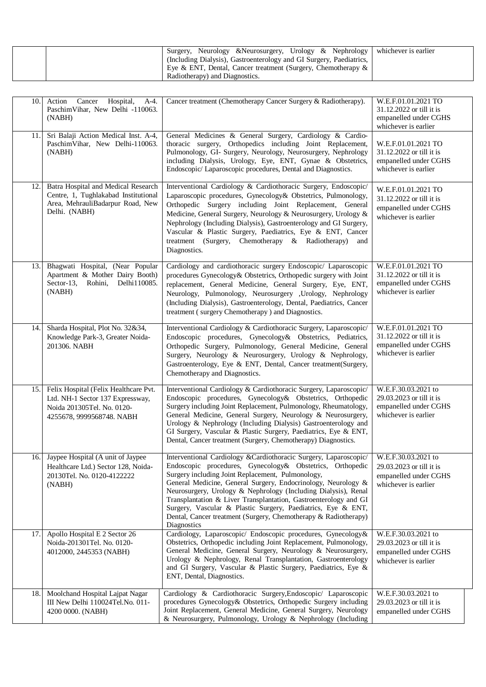| Surgery, Neurology & Neurosurgery, Urology & Nephrology   whichever is earlier<br>(Including Dialysis), Gastroenterology and GI Surgery, Paediatrics,<br>Eye & ENT, Dental, Cancer treatment (Surgery, Chemotherapy $\&\ $ |  |
|----------------------------------------------------------------------------------------------------------------------------------------------------------------------------------------------------------------------------|--|
| Radiotherapy) and Diagnostics.                                                                                                                                                                                             |  |

| 10. | Action Cancer Hospital, A-4.<br>PaschimVihar, New Delhi -110063.<br>(NABH)                                                           | Cancer treatment (Chemotherapy Cancer Surgery & Radiotherapy).                                                                                                                                                                                                                                                                                                                                                                                                                                                                              | W.E.F.01.01.2021 TO<br>31.12.2022 or till it is<br>empanelled under CGHS<br>whichever is earlier |
|-----|--------------------------------------------------------------------------------------------------------------------------------------|---------------------------------------------------------------------------------------------------------------------------------------------------------------------------------------------------------------------------------------------------------------------------------------------------------------------------------------------------------------------------------------------------------------------------------------------------------------------------------------------------------------------------------------------|--------------------------------------------------------------------------------------------------|
| 11. | Sri Balaji Action Medical Inst. A-4,<br>PaschimVihar, New Delhi-110063.<br>(NABH)                                                    | General Medicines & General Surgery, Cardiology & Cardio-<br>thoracic surgery, Orthopedics including Joint Replacement,<br>Pulmonology, GI- Surgery, Neurology, Neurosurgery, Nephrology<br>including Dialysis, Urology, Eye, ENT, Gynae & Obstetrics,<br>Endoscopic/ Laparoscopic procedures, Dental and Diagnostics.                                                                                                                                                                                                                      | W.E.F.01.01.2021 TO<br>31.12.2022 or till it is<br>empanelled under CGHS<br>whichever is earlier |
| 12. | Batra Hospital and Medical Research<br>Centre, 1, Tughlakabad Institutional<br>Area, MehrauliBadarpur Road, New<br>Delhi. (NABH)     | Interventional Cardiology & Cardiothoracic Surgery, Endoscopic/<br>Laparoscopic procedures, Gynecology& Obstetrics, Pulmonology,<br>Orthopedic Surgery including Joint Replacement, General<br>Medicine, General Surgery, Neurology & Neurosurgery, Urology &<br>Nephrology (Including Dialysis), Gastroenterology and GI Surgery,<br>Vascular & Plastic Surgery, Paediatrics, Eye & ENT, Cancer<br>treatment (Surgery,<br>Chemotherapy & Radiotherapy)<br>and<br>Diagnostics.                                                              | W.E.F.01.01.2021 TO<br>31.12.2022 or till it is<br>empanelled under CGHS<br>whichever is earlier |
| 13. | Bhagwati Hospital, (Near Popular<br>Apartment & Mother Dairy Booth)<br>Rohini,<br>Delhi110085.<br>Sector-13,<br>(NABH)               | Cardiology and cardiothoracic surgery Endoscopic/ Laparoscopic<br>procedures Gynecology& Obstetrics, Orthopedic surgery with Joint<br>replacement, General Medicine, General Surgery, Eye, ENT,<br>Neurology, Pulmonology, Neurosurgery ,Urology, Nephrology<br>(Including Dialysis), Gastroenterology, Dental, Paediatrics, Cancer<br>treatment (surgery Chemotherapy) and Diagnostics.                                                                                                                                                    | W.E.F.01.01.2021 TO<br>31.12.2022 or till it is<br>empanelled under CGHS<br>whichever is earlier |
| 14. | Sharda Hospital, Plot No. 32&34,<br>Knowledge Park-3, Greater Noida-<br>201306. NABH                                                 | Interventional Cardiology & Cardiothoracic Surgery, Laparoscopic/<br>Endoscopic procedures, Gynecology& Obstetrics, Pediatrics,<br>Orthopedic Surgery, Pulmonology, General Medicine, General<br>Surgery, Neurology & Neurosurgery, Urology & Nephrology,<br>Gastroenterology, Eye & ENT, Dental, Cancer treatment(Surgery,<br>Chemotherapy and Diagnostics.                                                                                                                                                                                | W.E.F.01.01.2021 TO<br>31.12.2022 or till it is<br>empanelled under CGHS<br>whichever is earlier |
| 15. | Felix Hospital (Felix Healthcare Pvt.<br>Ltd. NH-1 Sector 137 Expressway,<br>Noida 201305Tel. No. 0120-<br>4255678, 9999568748. NABH | Interventional Cardiology & Cardiothoracic Surgery, Laparoscopic/<br>Endoscopic procedures, Gynecology& Obstetrics, Orthopedic<br>Surgery including Joint Replacement, Pulmonology, Rheumatology,<br>General Medicine, General Surgery, Neurology & Neurosurgery,<br>Urology & Nephrology (Including Dialysis) Gastroenterology and<br>GI Surgery, Vascular & Plastic Surgery, Paediatrics, Eye & ENT,<br>Dental, Cancer treatment (Surgery, Chemotherapy) Diagnostics.                                                                     | W.E.F.30.03.2021 to<br>29.03.2023 or till it is<br>empanelled under CGHS<br>whichever is earlier |
|     | 16. Jaypee Hospital (A unit of Jaypee<br>Healthcare Ltd.) Sector 128, Noida-<br>20130Tel. No. 0120-4122222<br>(NABH)                 | Interventional Cardiology &Cardiothoracic Surgery, Laparoscopic/<br>Endoscopic procedures, Gynecology& Obstetrics, Orthopedic<br>Surgery including Joint Replacement, Pulmonology,<br>General Medicine, General Surgery, Endocrinology, Neurology &<br>Neurosurgery, Urology & Nephrology (Including Dialysis), Renal<br>Transplantation & Liver Transplantation, Gastroenterology and GI<br>Surgery, Vascular & Plastic Surgery, Paediatrics, Eye & ENT,<br>Dental, Cancer treatment (Surgery, Chemotherapy & Radiotherapy)<br>Diagnostics | W.E.F.30.03.2021 to<br>29.03.2023 or till it is<br>empanelled under CGHS<br>whichever is earlier |
| 17. | Apollo Hospital E 2 Sector 26<br>Noida-201301Tel. No. 0120-<br>4012000, 2445353 (NABH)                                               | Cardiology, Laparoscopic/ Endoscopic procedures, Gynecology&<br>Obstetrics, Orthopedic including Joint Replacement, Pulmonology,<br>General Medicine, General Surgery, Neurology & Neurosurgery,<br>Urology & Nephrology, Renal Transplantation, Gastroenterology<br>and GI Surgery, Vascular & Plastic Surgery, Paediatrics, Eye &<br>ENT, Dental, Diagnostics.                                                                                                                                                                            | W.E.F.30.03.2021 to<br>29.03.2023 or till it is<br>empanelled under CGHS<br>whichever is earlier |
| 18. | Moolchand Hospital Lajpat Nagar<br>III New Delhi 110024Tel.No. 011-<br>4200 0000. (NABH)                                             | Cardiology & Cardiothoracic Surgery, Endoscopic/ Laparoscopic<br>procedures Gynecology& Obstetrics, Orthopedic Surgery including<br>Joint Replacement, General Medicine, General Surgery, Neurology<br>& Neurosurgery, Pulmonology, Urology & Nephrology (Including                                                                                                                                                                                                                                                                         | W.E.F.30.03.2021 to<br>29.03.2023 or till it is<br>empanelled under CGHS                         |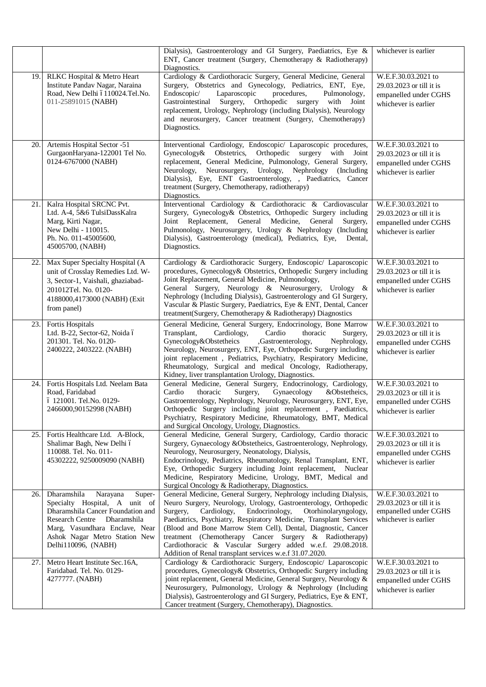|     |                                                                                                                                                                                                                                            | Dialysis), Gastroenterology and GI Surgery, Paediatrics, Eye &<br>ENT, Cancer treatment (Surgery, Chemotherapy & Radiotherapy)<br>Diagnostics.                                                                                                                                                                                                                                                                                                                                                                                      | whichever is earlier                                                                             |
|-----|--------------------------------------------------------------------------------------------------------------------------------------------------------------------------------------------------------------------------------------------|-------------------------------------------------------------------------------------------------------------------------------------------------------------------------------------------------------------------------------------------------------------------------------------------------------------------------------------------------------------------------------------------------------------------------------------------------------------------------------------------------------------------------------------|--------------------------------------------------------------------------------------------------|
| 19. | RLKC Hospital & Metro Heart<br>Institute Pandav Nagar, Naraina<br>Road, New Delhi ó110024.Tel.No.<br>011-25891015 (NABH)                                                                                                                   | Cardiology & Cardiothoracic Surgery, General Medicine, General<br>Surgery, Obstetrics and Gynecology, Pediatrics, ENT, Eye,<br>Endoscopic/<br>Laparoscopic<br>procedures,<br>Pulmonology,<br>Gastrointestinal Surgery, Orthopedic surgery with<br>Joint<br>replacement, Urology, Nephrology (including Dialysis), Neurology<br>and neurosurgery, Cancer treatment (Surgery, Chemotherapy)<br>Diagnostics.                                                                                                                           | W.E.F.30.03.2021 to<br>29.03.2023 or till it is<br>empanelled under CGHS<br>whichever is earlier |
| 20. | Artemis Hospital Sector -51<br>GurgaonHaryana-122001 Tel No.<br>0124-6767000 (NABH)                                                                                                                                                        | Interventional Cardiology, Endoscopic/ Laparoscopic procedures,<br>Gynecology& Obstetrics, Orthopedic surgery with Joint<br>replacement, General Medicine, Pulmonology, General Surgery,<br>Neurology, Neurosurgery, Urology, Nephrology (Including<br>Dialysis), Eye, ENT Gastroenterology, , Paediatrics, Cancer<br>treatment (Surgery, Chemotherapy, radiotherapy)<br>Diagnostics.                                                                                                                                               | W.E.F.30.03.2021 to<br>29.03.2023 or till it is<br>empanelled under CGHS<br>whichever is earlier |
| 21. | Kalra Hospital SRCNC Pvt.<br>Ltd. A-4, 5&6 TulsiDassKalra<br>Marg, Kirti Nagar,<br>New Delhi - 110015.<br>Ph. No. 011-45005600,<br>45005700, (NABH)                                                                                        | Interventional Cardiology & Cardiothoracic & Cardiovascular<br>Surgery, Gynecology& Obstetrics, Orthopedic Surgery including<br>Joint Replacement, General Medicine, General<br>Surgery,<br>Pulmonology, Neurosurgery, Urology & Nephrology (Including<br>Dialysis), Gastroenterology (medical), Pediatrics, Eye,<br>Dental.<br>Diagnostics.                                                                                                                                                                                        | W.E.F.30.03.2021 to<br>29.03.2023 or till it is<br>empanelled under CGHS<br>whichever is earlier |
| 22. | Max Super Specialty Hospital (A<br>unit of Crosslay Remedies Ltd. W-<br>3, Sector-1, Vaishali, ghaziabad-<br>201012Tel. No. 0120-<br>4188000,4173000 (NABH) (Exit<br>from panel)                                                           | Cardiology & Cardiothoracic Surgery, Endoscopic/ Laparoscopic<br>procedures, Gynecology& Obstetrics, Orthopedic Surgery including<br>Joint Replacement, General Medicine, Pulmonology,<br>General Surgery, Neurology & Neurosurgery, Urology &<br>Nephrology (Including Dialysis), Gastroenterology and GI Surgery,<br>Vascular & Plastic Surgery, Paediatrics, Eye & ENT, Dental, Cancer<br>treatment(Surgery, Chemotherapy & Radiotherapy) Diagnostics                                                                            | W.E.F.30.03.2021 to<br>29.03.2023 or till it is<br>empanelled under CGHS<br>whichever is earlier |
| 23. | Fortis Hospitals<br>Ltd. B-22, Sector-62, Noida ó<br>201301. Tel. No. 0120-<br>2400222, 2403222. (NABH)                                                                                                                                    | General Medicine, General Surgery, Endocrinology, Bone Marrow<br>Cardio<br>Transplant,<br>Cardiology,<br>thoracic<br>Surgery,<br>Gynecology&Obstetheics<br>,Gastroenterology,<br>Nephrology,<br>Neurology, Neurosurgery, ENT, Eye, Orthopedic Surgery including<br>joint replacement, Pediatrics, Psychiatry, Respiratory Medicine,<br>Rheumatology, Surgical and medical Oncology, Radiotherapy,<br>Kidney, liver transplantation Urology, Diagnostics.                                                                            | W.E.F.30.03.2021 to<br>29.03.2023 or till it is<br>empanelled under CGHS<br>whichever is earlier |
| 24. | Fortis Hospitals Ltd. Neelam Bata<br>Road, Faridabad<br>ó 121001. Tel.No. 0129-<br>2466000,90152998 (NABH)                                                                                                                                 | General Medicine, General Surgery, Endocrinology, Cardiology,<br>Cardio<br>thoracic<br>Surgery,<br>Gynaecology<br>&Obstetheics,<br>Gastroenterology, Nephrology, Neurology, Neurosurgery, ENT, Eye,<br>Orthopedic Surgery including joint replacement, Paediatrics,<br>Psychiatry, Respiratory Medicine, Rheumatology, BMT, Medical<br>and Surgical Oncology, Urology, Diagnostics.                                                                                                                                                 | W.E.F.30.03.2021 to<br>29.03.2023 or till it is<br>empanelled under CGHS<br>whichever is earlier |
| 25. | Fortis Healthcare Ltd. A-Block,<br>Shalimar Bagh, New Delhi ó<br>110088. Tel. No. 011-<br>45302222, 9250009090 (NABH)                                                                                                                      | General Medicine, General Surgery, Cardiology, Cardio thoracic<br>Surgery, Gynaecology &Obstetheics, Gastroenterology, Nephrology,<br>Neurology, Neurosurgery, Neonatology, Dialysis,<br>Endocrinology, Pediatrics, Rheumatology, Renal Transplant, ENT,<br>Eye, Orthopedic Surgery including Joint replacement, Nuclear<br>Medicine, Respiratory Medicine, Urology, BMT, Medical and<br>Surgical Oncology & Radiotherapy, Diagnostics.                                                                                             | W.E.F.30.03.2021 to<br>29.03.2023 or till it is<br>empanelled under CGHS<br>whichever is earlier |
| 26. | Dharamshila<br>Narayana<br>Super-<br>Specialty Hospital, A unit of<br>Dharamshila Cancer Foundation and<br>Dharamshila<br><b>Research Centre</b><br>Marg, Vasundhara Enclave, Near<br>Ashok Nagar Metro Station New<br>Delhi110096, (NABH) | General Medicine, General Surgery, Nephrology including Dialysis,<br>Neuro Surgery, Neurology, Urology, Gastroenterology, Orthopedic<br>Surgery,<br>Cardiology,<br>Endocrinology,<br>Otorhinolaryngology,<br>Paediatrics, Psychiatry, Respiratory Medicine, Transplant Services<br>(Blood and Bone Marrow Stem Cell), Dental, Diagnostic, Cancer<br>treatment (Chemotherapy Cancer Surgery & Radiotherapy)<br>Cardiothoracic & Vascular Surgery added w.e.f. 29.08.2018.<br>Addition of Renal transplant services w.e.f 31.07.2020. | W.E.F.30.03.2021 to<br>29.03.2023 or till it is<br>empanelled under CGHS<br>whichever is earlier |
| 27. | Metro Heart Institute Sec.16A,<br>Faridabad. Tel. No. 0129-<br>4277777. (NABH)                                                                                                                                                             | Cardiology & Cardiothoracic Surgery, Endoscopic/ Laparoscopic<br>procedures, Gynecology& Obstetrics, Orthopedic Surgery including<br>joint replacement, General Medicine, General Surgery, Neurology &<br>Neurosurgery, Pulmonology, Urology & Nephrology (Including<br>Dialysis), Gastroenterology and GI Surgery, Pediatrics, Eye & ENT,<br>Cancer treatment (Surgery, Chemotherapy), Diagnostics.                                                                                                                                | W.E.F.30.03.2021 to<br>29.03.2023 or till it is<br>empanelled under CGHS<br>whichever is earlier |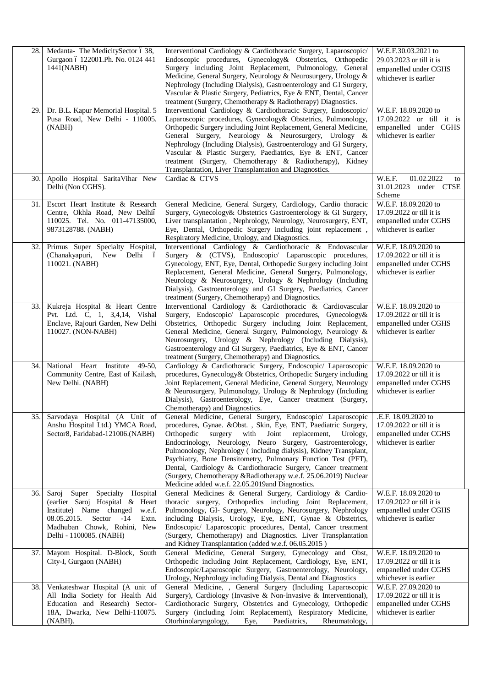| 28.  | Medanta-The MedicitySector ó 38,<br>Gurgaon ó 122001.Ph. No. 0124 441<br>1441(NABH)                                                                                                                             | Interventional Cardiology & Cardiothoracic Surgery, Laparoscopic/<br>Endoscopic procedures, Gynecology& Obstetrics, Orthopedic<br>Surgery including Joint Replacement, Pulmonology, General<br>Medicine, General Surgery, Neurology & Neurosurgery, Urology &<br>Nephrology (Including Dialysis), Gastroenterology and GI Surgery,<br>Vascular & Plastic Surgery, Pediatrics, Eye & ENT, Dental, Cancer<br>treatment (Surgery, Chemotherapy & Radiotherapy) Diagnostics.                                                                                                                    | W.E.F.30.03.2021 to<br>29.03.2023 or till it is<br>empanelled under CGHS<br>whichever is earlier  |
|------|-----------------------------------------------------------------------------------------------------------------------------------------------------------------------------------------------------------------|---------------------------------------------------------------------------------------------------------------------------------------------------------------------------------------------------------------------------------------------------------------------------------------------------------------------------------------------------------------------------------------------------------------------------------------------------------------------------------------------------------------------------------------------------------------------------------------------|---------------------------------------------------------------------------------------------------|
| 29.  | Dr. B.L. Kapur Memorial Hospital. 5<br>Pusa Road, New Delhi - 110005.<br>(NABH)                                                                                                                                 | Interventional Cardiology & Cardiothoracic Surgery, Endoscopic/<br>Laparoscopic procedures, Gynecology& Obstetrics, Pulmonology,<br>Orthopedic Surgery including Joint Replacement, General Medicine,<br>General Surgery, Neurology & Neurosurgery, Urology &<br>Nephrology (Including Dialysis), Gastroenterology and GI Surgery,<br>Vascular & Plastic Surgery, Paediatrics, Eye & ENT, Cancer<br>treatment (Surgery, Chemotherapy & Radiotherapy), Kidney<br>Transplantation, Liver Transplantation and Diagnostics.                                                                     | W.E.F. 18.09.2020 to<br>17.09.2022 or till it is<br>empanelled under CGHS<br>whichever is earlier |
| 30.  | Apollo Hospital SaritaVihar New<br>Delhi (Non CGHS).                                                                                                                                                            | Cardiac & CTVS                                                                                                                                                                                                                                                                                                                                                                                                                                                                                                                                                                              | W.E.F.<br>01.02.2022<br>to<br>31.01.2023 under CTSE<br>Scheme                                     |
| 31.  | Escort Heart Institute & Research<br>Centre, Okhla Road, New Delhió<br>110025. Tel. No. 011-47135000,<br>9873128788. (NABH)                                                                                     | General Medicine, General Surgery, Cardiology, Cardio thoracic<br>Surgery, Gynecology& Obstetrics Gastroenterology & GI Surgery,<br>Liver transplantation, Nephrology, Neurology, Neurosurgery, ENT,<br>Eye, Dental, Orthopedic Surgery including joint replacement,<br>Respiratory Medicine, Urology, and Diagnostics.                                                                                                                                                                                                                                                                     | W.E.F. 18.09.2020 to<br>17.09.2022 or till it is<br>empanelled under CGHS<br>whichever is earlier |
| 32.  | Primus Super Specialty Hospital,<br>(Chanakyapuri,<br>New<br>Delhi ó<br>110021. (NABH)                                                                                                                          | Interventional Cardiology & Cardiothoracic & Endovascular<br>Surgery & (CTVS), Endoscopic/ Laparoscopic procedures,<br>Gynecology, ENT, Eye, Dental, Orthopedic Surgery including Joint<br>Replacement, General Medicine, General Surgery, Pulmonology,<br>Neurology & Neurosurgery, Urology & Nephrology (Including<br>Dialysis), Gastroenterology and GI Surgery, Paediatrics, Cancer<br>treatment (Surgery, Chemotherapy) and Diagnostics.                                                                                                                                               | W.E.F. 18.09.2020 to<br>17.09.2022 or till it is<br>empanelled under CGHS<br>whichever is earlier |
| 33.1 | Kukreja Hospital & Heart Centre<br>Pvt. Ltd. C, 1, 3,4,14, Vishal<br>Enclave, Rajouri Garden, New Delhi<br>110027. (NON-NABH)                                                                                   | Interventional Cardiology & Cardiothoracic & Cardiovascular<br>Surgery, Endoscopic/ Laparoscopic procedures, Gynecology&<br>Obstetrics, Orthopedic Surgery including Joint Replacement,<br>General Medicine, General Surgery, Pulmonology, Neurology &<br>Neurosurgery, Urology & Nephrology (Including Dialysis),<br>Gastroenterology and GI Surgery, Paediatrics, Eye & ENT, Cancer<br>treatment (Surgery, Chemotherapy) and Diagnostics.                                                                                                                                                 | W.E.F. 18.09.2020 to<br>17.09.2022 or till it is<br>empanelled under CGHS<br>whichever is earlier |
| 34.  | National Heart Institute 49-50,<br>Community Centre, East of Kailash,<br>New Delhi. (NABH)                                                                                                                      | Cardiology & Cardiothoracic Surgery, Endoscopic/ Laparoscopic<br>procedures, Gynecology & Obstetrics, Orthopedic Surgery including<br>Joint Replacement, General Medicine, General Surgery, Neurology<br>& Neurosurgery, Pulmonology, Urology & Nephrology (Including<br>Dialysis), Gastroenterology, Eye, Cancer treatment (Surgery,<br>Chemotherapy) and Diagnostics.                                                                                                                                                                                                                     | W.E.F. 18.09.2020 to<br>17.09.2022 or till it is<br>empanelled under CGHS<br>whichever is earlier |
| 35.  | Sarvodaya Hospital (A Unit of<br>Anshu Hospital Ltd.) YMCA Road,<br>Sector8, Faridabad-121006.(NABH)                                                                                                            | General Medicine, General Surgery, Endoscopic/ Laparoscopic<br>procedures, Gynae. &Obst., Skin, Eye, ENT, Paediatric Surgery,<br>Joint replacement,<br>Orthopedic<br>surgery<br>with<br>Urology,<br>Endocrinology, Neurology, Neuro Surgery, Gastroenterology,<br>Pulmonology, Nephrology (including dialysis), Kidney Transplant,<br>Psychiatry, Bone Densitometry, Pulmonary Function Test (PFT),<br>Dental, Cardiology & Cardiothoracic Surgery, Cancer treatment<br>(Surgery, Chemotherapy &Radiotherapy w.e.f. 25.06.2019) Nuclear<br>Medicine added w.e.f. 22.05.2019and Diagnostics. | .E.F. 18.09.2020 to<br>17.09.2022 or till it is<br>empanelled under CGHS<br>whichever is earlier  |
| 36.  | Specialty Hospital<br>Super<br>Saroj<br>(earlier Saroj Hospital & Heart<br>Institute) Name changed<br>w.e.f.<br>Sector<br>08.05.2015.<br>Extn.<br>-14<br>Madhuban Chowk, Rohini, New<br>Delhi - 1100085. (NABH) | General Medicines & General Surgery, Cardiology & Cardio-<br>thoracic surgery, Orthopedics including Joint Replacement,<br>Pulmonology, GI- Surgery, Neurology, Neurosurgery, Nephrology<br>including Dialysis, Urology, Eye, ENT, Gynae & Obstetrics,<br>Endoscopic/ Laparoscopic procedures, Dental, Cancer treatment<br>(Surgery, Chemotherapy) and Diagnostics. Liver Transplantation<br>and Kidney Transplantation (added w.e.f. 06.05.2015)                                                                                                                                           | W.E.F. 18.09.2020 to<br>17.09.2022 or till it is<br>empanelled under CGHS<br>whichever is earlier |
| 37.  | Mayom Hospital. D-Block, South<br>City-I, Gurgaon (NABH)                                                                                                                                                        | General Medicine, General Surgery, Gynecology and Obst,<br>Orthopedic including Joint Replacement, Cardiology, Eye, ENT,<br>Endoscopic/Laparoscopic Surgery, Gastroenterology, Neurology,<br>Urology, Nephrology including Dialysis, Dental and Diagnostics                                                                                                                                                                                                                                                                                                                                 | W.E.F. 18.09.2020 to<br>17.09.2022 or till it is<br>empanelled under CGHS<br>whichever is earlier |
| 38.  | Venkateshwar Hospital (A unit of<br>All India Society for Health Aid<br>Education and Research) Sector-<br>18A, Dwarka, New Delhi-110075.<br>(NABH).                                                            | General Medicine, , General Surgery (Including Laparoscopic<br>Surgery), Cardiology (Invasive & Non-Invasive & Interventional),<br>Cardiothoracic Surgery, Obstetrics and Gynecology, Orthopedic<br>Surgery (including Joint Replacement), Respiratory Medicine,<br>Otorhinolaryngology,<br>Paediatrics,<br>Rheumatology,<br>Eye,                                                                                                                                                                                                                                                           | W.E.F. 27.09.2020 to<br>17.09.2022 or till it is<br>empanelled under CGHS<br>whichever is earlier |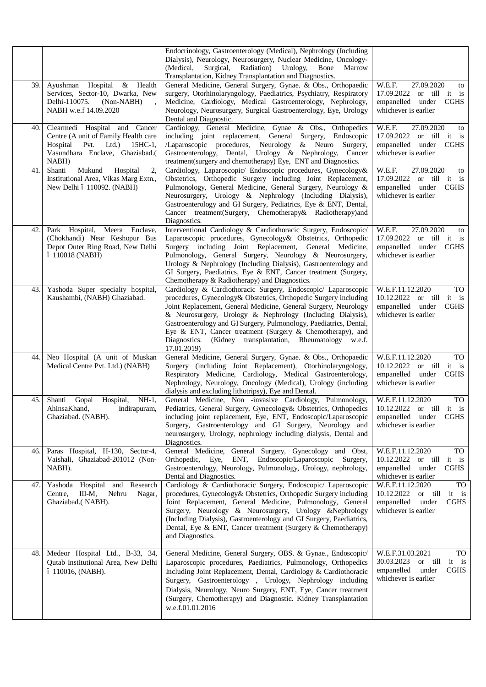|     |                                                                                                                                                     | Endocrinology, Gastroenterology (Medical), Nephrology (Including<br>Dialysis), Neurology, Neurosurgery, Nuclear Medicine, Oncology-<br>Surgical, Radiation) Urology, Bone<br>(Medical.<br>Marrow<br>Transplantation, Kidney Transplantation and Diagnostics.                                                                                                                                                                                                                      |                                                                                                                        |
|-----|-----------------------------------------------------------------------------------------------------------------------------------------------------|-----------------------------------------------------------------------------------------------------------------------------------------------------------------------------------------------------------------------------------------------------------------------------------------------------------------------------------------------------------------------------------------------------------------------------------------------------------------------------------|------------------------------------------------------------------------------------------------------------------------|
| 39. | Ayushman Hospital &<br>Health<br>Services, Sector-10, Dwarka, New<br>Delhi-110075.<br>(Non-NABH)<br>NABH w.e.f 14.09.2020                           | General Medicine, General Surgery, Gynae. & Obs., Orthopaedic<br>surgery, Otorhinolaryngology, Paediatrics, Psychiatry, Respiratory<br>Medicine, Cardiology, Medical Gastroenterology, Nephrology,<br>Neurology, Neurosurgery, Surgical Gastroenterology, Eye, Urology<br>Dental and Diagnostic.                                                                                                                                                                                  | W.E.F.<br>27.09.2020<br>to<br>17.09.2022 or till it is<br>empanelled under<br><b>CGHS</b><br>whichever is earlier      |
| 40. | Clearmedi Hospital and Cancer<br>Centre (A unit of Family Health care<br>Hospital<br>Pvt. Ltd.) 15HC-1,<br>Vasundhara Enclave, Ghaziabad.(<br>NABH) | Cardiology, General Medicine, Gynae & Obs., Orthopedics<br>including joint replacement, General Surgery, Endoscopic<br>/Laparoscopic procedures, Neurology & Neuro Surgery,<br>Gastroenterology, Dental, Urology & Nephrology, Cancer<br>treatment(surgery and chemotherapy) Eye, ENT and Diagnostics.                                                                                                                                                                            | W.E.F.<br>27.09.2020<br>to<br>17.09.2022 or till it is<br>empanelled under CGHS<br>whichever is earlier                |
| 41. | Mukund<br>Hospital<br>Shanti<br>2,<br>Institutional Area, Vikas Marg Extn.,<br>New Delhi ó 110092. (NABH)                                           | Cardiology, Laparoscopic/ Endoscopic procedures, Gynecology&<br>Obstetrics, Orthopedic Surgery including Joint Replacement,<br>Pulmonology, General Medicine, General Surgery, Neurology &<br>Neurosurgery, Urology & Nephrology (Including Dialysis),<br>Gastroenterology and GI Surgery, Pediatrics, Eye & ENT, Dental,<br>Cancer treatment(Surgery, Chemotherapy& Radiotherapy)and<br>Diagnostics.                                                                             | W.E.F.<br>27.09.2020<br>to<br>17.09.2022 or till it is<br>empanelled under CGHS<br>whichever is earlier                |
| 42. | Park Hospital,<br>Meera Enclave,<br>(Chokhandi) Near Keshopur Bus<br>Depot Outer Ring Road, New Delhi<br>ó 110018 (NABH)                            | Interventional Cardiology & Cardiothoracic Surgery, Endoscopic/<br>Laparoscopic procedures, Gynecology& Obstetrics, Orthopedic<br>Surgery including Joint Replacement, General Medicine,<br>Pulmonology, General Surgery, Neurology & Neurosurgery,<br>Urology & Nephrology (Including Dialysis), Gastroenterology and<br>GI Surgery, Paediatrics, Eye & ENT, Cancer treatment (Surgery,<br>Chemotherapy & Radiotherapy) and Diagnostics.                                         | W.E.F.<br>27.09.2020<br>to<br>17.09.2022 or till it is<br>empanelled under CGHS<br>whichever is earlier                |
| 43. | Yashoda Super specialty hospital,<br>Kaushambi, (NABH) Ghaziabad.                                                                                   | Cardiology & Cardiothoracic Surgery, Endoscopic/ Laparoscopic<br>procedures, Gynecology& Obstetrics, Orthopedic Surgery including<br>Joint Replacement, General Medicine, General Surgery, Neurology<br>& Neurosurgery, Urology & Nephrology (Including Dialysis),<br>Gastroenterology and GI Surgery, Pulmonology, Paediatrics, Dental,<br>Eye & ENT, Cancer treatment (Surgery & Chemotherapy), and<br>Diagnostics. (Kidney transplantation, Rheumatology w.e.f.<br>17.01.2019) | W.E.F.11.12.2020<br>TO<br>10.12.2022 or till it is<br>empanelled under CGHS<br>whichever is earlier                    |
| 44. | Neo Hospital (A unit of Muskan<br>Medical Centre Pvt. Ltd.) (NABH)                                                                                  | General Medicine, General Surgery, Gynae. & Obs., Orthopaedic<br>Surgery (including Joint Replacement), Otorhinolaryngology,<br>Respiratory Medicine, Cardiology, Medical Gastroenterology,<br>Nephrology, Neurology, Oncology (Medical), Urology (including<br>dialysis and excluding lithotripsy), Eye and Dental.                                                                                                                                                              | W.E.F.11.12.2020<br>TO<br>10.12.2022 or till it is<br>empanelled under CGHS<br>whichever is earlier                    |
| 45. | Gopal Hospital,<br>$NH-1$ ,<br>Shanti<br>AhinsaKhand, Indirapuram,<br>Ghaziabad. (NABH).                                                            | General Medicine, Non -invasive Cardiology, Pulmonology,<br>Pediatrics, General Surgery, Gynecology& Obstetrics, Orthopedics  <br>including joint replacement, Eye, ENT, Endoscopic/Laparoscopic<br>Surgery, Gastroenterology and GI Surgery, Neurology and<br>neurosurgery, Urology, nephrology including dialysis, Dental and<br>Diagnostics.                                                                                                                                   | W.E.F.11.12.2020<br>TO<br>10.12.2022 or till it is<br>empanelled under CGHS<br>whichever is earlier                    |
| 46. | Paras Hospital, H-130, Sector-4,<br>Vaishali, Ghaziabad-201012 (Non-<br>NABH).                                                                      | General Medicine, General Surgery, Gynecology and Obst,<br>Orthopedic, Eye, ENT, Endoscopic/Laparoscopic Surgery,<br>Gastroenterology, Neurology, Pulmonology, Urology, nephrology,<br>Dental and Diagnostics.                                                                                                                                                                                                                                                                    | W.E.F.11.12.2020<br>TO<br>10.12.2022 or till it is<br>empanelled under CGHS<br>whichever is earlier                    |
| 47. | Yashoda Hospital and Research<br>Centre,<br>III-M,<br>Nehru<br>Nagar,<br>Ghaziabad.(NABH).                                                          | Cardiology & Cardiothoracic Surgery, Endoscopic/ Laparoscopic<br>procedures, Gynecology& Obstetrics, Orthopedic Surgery including<br>Joint Replacement, General Medicine, Pulmonology, General<br>Surgery, Neurology & Neurosurgery, Urology & Nephrology<br>(Including Dialysis), Gastroenterology and GI Surgery, Paediatrics,<br>Dental, Eye & ENT, Cancer treatment (Surgery & Chemotherapy)<br>and Diagnostics.                                                              | W.E.F.11.12.2020<br>TO<br>10.12.2022 or till<br>it is<br>empanelled<br><b>CGHS</b><br>under<br>whichever is earlier    |
| 48. | Medeor Hospital Ltd., B-33, 34,<br>Qutab Institutional Area, New Delhi<br>ó 110016, (NABH).                                                         | General Medicine, General Surgery, OBS. & Gynae., Endoscopic/<br>Laparoscopic procedures, Paediatrics, Pulmonology, Orthopedics<br>Including Joint Replacement, Dental, Cardiology & Cardiothoracic<br>Surgery, Gastroenterology , Urology, Nephrology including<br>Dialysis, Neurology, Neuro Surgery, ENT, Eye, Cancer treatment<br>(Surgery, Chemotherapy) and Diagnostic. Kidney Transplantation<br>w.e.f.01.01.2016                                                          | W.E.F.31.03.2021<br>TO<br>30.03.2023<br>or till<br>it is<br>empanelled<br>under<br><b>CGHS</b><br>whichever is earlier |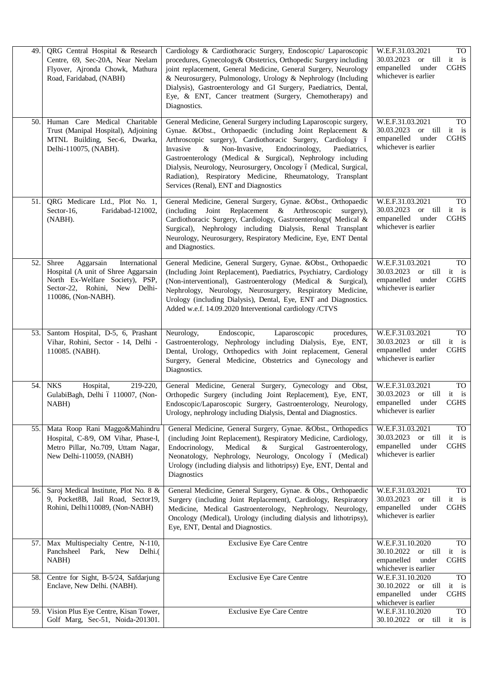| 49. | QRG Central Hospital & Research<br>Centre, 69, Sec-20A, Near Neelam<br>Flyover, Ajronda Chowk, Mathura<br>Road, Faridabad, (NABH)                                     | Cardiology & Cardiothoracic Surgery, Endoscopic/ Laparoscopic<br>procedures, Gynecology& Obstetrics, Orthopedic Surgery including<br>joint replacement, General Medicine, General Surgery, Neurology<br>& Neurosurgery, Pulmonology, Urology & Nephrology (Including<br>Dialysis), Gastroenterology and GI Surgery, Paediatrics, Dental,<br>Eye, & ENT, Cancer treatment (Surgery, Chemotherapy) and<br>Diagnostics.                                                                                             | TO<br>W.E.F.31.03.2021<br>30.03.2023<br>or till<br>it is<br>under<br><b>CGHS</b><br>empanelled<br>whichever is earlier                      |
|-----|-----------------------------------------------------------------------------------------------------------------------------------------------------------------------|------------------------------------------------------------------------------------------------------------------------------------------------------------------------------------------------------------------------------------------------------------------------------------------------------------------------------------------------------------------------------------------------------------------------------------------------------------------------------------------------------------------|---------------------------------------------------------------------------------------------------------------------------------------------|
| 50. | Human Care Medical Charitable<br>Trust (Manipal Hospital), Adjoining<br>MTNL Building, Sec-6, Dwarka,<br>Delhi-110075, (NABH).                                        | General Medicine, General Surgery including Laparoscopic surgery,<br>Gynae. & Obst., Orthopaedic (including Joint Replacement &<br>Arthroscopic surgery), Cardiothoracic Surgery, Cardiology ó<br>Non-Invasive,<br>Endocrinology,<br>Invasive<br>$\&$<br>Paediatrics,<br>Gastroenterology (Medical & Surgical), Nephrology including<br>Dialysis, Neurology, Neurosurgery, Oncology ó (Medical, Surgical,<br>Radiation), Respiratory Medicine, Rheumatology, Transplant<br>Services (Renal), ENT and Diagnostics | W.E.F.31.03.2021<br>TO<br>30.03.2023<br>or till<br>it is<br><b>CGHS</b><br>empanelled<br>under<br>whichever is earlier                      |
| 51. | QRG Medicare Ltd., Plot No. 1,<br>Faridabad-121002,<br>Sector-16,<br>(NABH).                                                                                          | General Medicine, General Surgery, Gynae. &Obst., Orthopaedic<br>Joint Replacement & Arthroscopic<br>(including)<br>surgery),<br>Cardiothoracic Surgery, Cardiology, Gastroenterology( Medical &<br>Surgical), Nephrology including Dialysis, Renal Transplant<br>Neurology, Neurosurgery, Respiratory Medicine, Eye, ENT Dental<br>and Diagnostics.                                                                                                                                                             | W.E.F.31.03.2021<br><b>TO</b><br>30.03.2023<br>or till<br>it<br>$\frac{1}{1}$<br><b>CGHS</b><br>empanelled<br>under<br>whichever is earlier |
| 52. | Shree<br>International<br>Aggarsain<br>Hospital (A unit of Shree Aggarsain<br>North Ex-Welfare Society), PSP,<br>Sector-22, Rohini, New Delhi-<br>110086, (Non-NABH). | General Medicine, General Surgery, Gynae. &Obst., Orthopaedic<br>(Including Joint Replacement), Paediatrics, Psychiatry, Cardiology<br>(Non-interventional), Gastroenterology (Medical & Surgical),<br>Nephrology, Neurology, Neurosurgery, Respiratory Medicine,<br>Urology (including Dialysis), Dental, Eye, ENT and Diagnostics.<br>Added w.e.f. 14.09.2020 Interventional cardiology /CTVS                                                                                                                  | W.E.F.31.03.2021<br><b>TO</b><br>30.03.2023<br>or till<br>it is<br>empanelled<br>under<br><b>CGHS</b><br>whichever is earlier               |
| 53. | Santom Hospital, D-5, 6, Prashant<br>Vihar, Rohini, Sector - 14, Delhi -<br>110085. (NABH).                                                                           | Neurology,<br>Endoscopic,<br>Laparoscopic<br>procedures,<br>Gastroenterology, Nephrology including Dialysis, Eye, ENT,<br>Dental, Urology, Orthopedics with Joint replacement, General<br>Surgery, General Medicine, Obstetrics and Gynecology and<br>Diagnostics.                                                                                                                                                                                                                                               | W.E.F.31.03.2021<br><b>TO</b><br>30.03.2023<br>or till<br>it is<br>empanelled<br>under<br><b>CGHS</b><br>whichever is earlier               |
| 54. | Hospital,<br><b>NKS</b><br>219-220,<br>GulabiBagh, Delhi ó 110007, (Non-<br>NABH)                                                                                     | General Medicine, General Surgery, Gynecology and Obst,<br>Orthopedic Surgery (including Joint Replacement), Eye, ENT,<br>Endoscopic/Laparoscopic Surgery, Gastroenterology, Neurology,<br>Urology, nephrology including Dialysis, Dental and Diagnostics.                                                                                                                                                                                                                                                       | W.E.F.31.03.2021<br><b>TO</b><br>30.03.2023<br>or till<br>it is<br>empanelled<br>under<br><b>CGHS</b><br>whichever is earlier               |
| 55. | Mata Roop Rani Maggo&Mahindru<br>Hospital, C-8/9, OM Vihar, Phase-I,<br>Metro Pillar, No.709, Uttam Nagar,<br>New Delhi-110059, (NABH)                                | General Medicine, General Surgery, Gynae. &Obst., Orthopedics<br>(including Joint Replacement), Respiratory Medicine, Cardiology,<br>Endocrinology,<br>Medical<br>Surgical<br>Gastroenterology,<br>$\&$<br>Neonatology, Nephrology, Neurology, Oncology ó (Medical)<br>Urology (including dialysis and lithotripsy) Eye, ENT, Dental and<br>Diagnostics                                                                                                                                                          | W.E.F.31.03.2021<br><b>TO</b><br>or till<br>30.03.2023<br>it is<br>empanelled<br>under<br><b>CGHS</b><br>whichever is earlier               |
| 56. | Saroj Medical Institute, Plot No. 8 &<br>9, Pocket8B, Jail Road, Sector19,<br>Rohini, Delhi110089, (Non-NABH)                                                         | General Medicine, General Surgery, Gynae. & Obs., Orthopaedic<br>Surgery (including Joint Replacement), Cardiology, Respiratory<br>Medicine, Medical Gastroenterology, Nephrology, Neurology,<br>Oncology (Medical), Urology (including dialysis and lithotripsy),<br>Eye, ENT, Dental and Diagnostics.                                                                                                                                                                                                          | W.E.F.31.03.2021<br>TO<br>30.03.2023<br>or till<br>it<br>is<br>empanelled<br>under<br><b>CGHS</b><br>whichever is earlier                   |
| 57. | Max Multispecialty Centre, N-110,<br>Panchsheel Park,<br>New<br>Delhi.(<br>NABH)                                                                                      | <b>Exclusive Eye Care Centre</b>                                                                                                                                                                                                                                                                                                                                                                                                                                                                                 | W.E.F.31.10.2020<br><b>TO</b><br>30.10.2022<br>or till<br>it is<br>empanelled<br>under<br><b>CGHS</b><br>whichever is earlier               |
| 58. | Centre for Sight, B-5/24, Safdarjung<br>Enclave, New Delhi. (NABH).                                                                                                   | <b>Exclusive Eye Care Centre</b>                                                                                                                                                                                                                                                                                                                                                                                                                                                                                 | <b>TO</b><br>W.E.F.31.10.2020<br>30.10.2022<br>or till it is<br>empanelled<br><b>CGHS</b><br>under<br>whichever is earlier                  |
| 59. | Vision Plus Eye Centre, Kisan Tower,<br>Golf Marg, Sec-51, Noida-201301.                                                                                              | <b>Exclusive Eye Care Centre</b>                                                                                                                                                                                                                                                                                                                                                                                                                                                                                 | <b>TO</b><br>W.E.F.31.10.2020<br>30.10.2022 or till it is                                                                                   |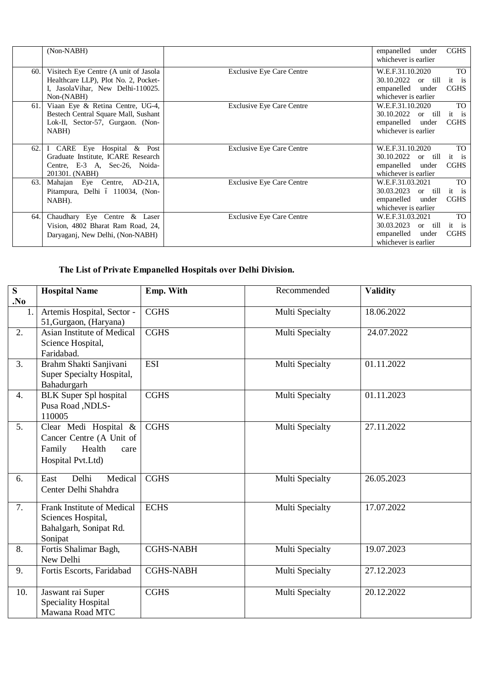|      | (Non-NABH)                                                                                                                         |                                  | empanelled<br>under<br>whichever is earlier                                              | <b>CGHS</b>                       |
|------|------------------------------------------------------------------------------------------------------------------------------------|----------------------------------|------------------------------------------------------------------------------------------|-----------------------------------|
| 60.  | Visitech Eye Centre (A unit of Jasola<br>Healthcare LLP), Plot No. 2, Pocket-<br>I, JasolaVihar, New Delhi-110025.<br>$Non-(NABH)$ | <b>Exclusive Eye Care Centre</b> | W.E.F.31.10.2020<br>30.10.2022<br>or till<br>empanelled<br>under<br>whichever is earlier | <b>TO</b><br>it is<br><b>CGHS</b> |
| 61.  | Viaan Eye & Retina Centre, UG-4,<br>Bestech Central Square Mall, Sushant<br>Lok-II, Sector-57, Gurgaon. (Non-<br>NABH)             | <b>Exclusive Eye Care Centre</b> | W.E.F.31.10.2020<br>30.10.2022<br>or till<br>empanelled<br>under<br>whichever is earlier | <b>TO</b><br>it is<br><b>CGHS</b> |
| 62.  | I CARE Eye Hospital & Post<br>Graduate Institute, ICARE Research<br>Centre, E-3 A, Sec-26, Noida-<br>201301. (NABH)                | <b>Exclusive Eye Care Centre</b> | W.E.F.31.10.2020<br>30.10.2022<br>or till<br>empanelled<br>under<br>whichever is earlier | <b>TO</b><br>it is<br><b>CGHS</b> |
| 63.  | Mahajan Eye Centre, AD-21A,<br>Pitampura, Delhi ó 110034, (Non-<br>NABH).                                                          | <b>Exclusive Eye Care Centre</b> | W.E.F.31.03.2021<br>30.03.2023<br>or till<br>empanelled<br>under<br>whichever is earlier | <b>TO</b><br>it is<br><b>CGHS</b> |
| 64.1 | Chaudhary Eye Centre & Laser<br>Vision, 4802 Bharat Ram Road, 24,<br>Daryagani, New Delhi, (Non-NABH)                              | <b>Exclusive Eye Care Centre</b> | W.E.F.31.03.2021<br>30.03.2023<br>or till<br>empanelled<br>under<br>whichever is earlier | <b>TO</b><br>it is<br><b>CGHS</b> |

## **The List of Private Empanelled Hospitals over Delhi Division.**

| $\overline{\mathbf{S}}$ | <b>Hospital Name</b>                   | Emp. With        | Recommended     | <b>Validity</b> |
|-------------------------|----------------------------------------|------------------|-----------------|-----------------|
| No.                     |                                        |                  |                 |                 |
| 1.                      | Artemis Hospital, Sector -             | <b>CGHS</b>      | Multi Specialty | 18.06.2022      |
|                         | 51, Gurgaon, (Haryana)                 |                  |                 |                 |
| 2.                      | Asian Institute of Medical             | <b>CGHS</b>      | Multi Specialty | 24.07.2022      |
|                         | Science Hospital,                      |                  |                 |                 |
|                         | Faridabad.                             |                  |                 |                 |
| 3.                      | Brahm Shakti Sanjivani                 | <b>ESI</b>       | Multi Specialty | 01.11.2022      |
|                         | Super Specialty Hospital,              |                  |                 |                 |
|                         | Bahadurgarh                            |                  |                 |                 |
| $\overline{4}$ .        | <b>BLK</b> Super Spl hospital          | <b>CGHS</b>      | Multi Specialty | 01.11.2023      |
|                         | Pusa Road, NDLS-                       |                  |                 |                 |
|                         | 110005                                 |                  |                 |                 |
| 5.                      | Clear Medi Hospital &                  | <b>CGHS</b>      | Multi Specialty | 27.11.2022      |
|                         | Cancer Centre (A Unit of               |                  |                 |                 |
|                         | Family<br>Health<br>care               |                  |                 |                 |
|                         | Hospital Pvt.Ltd)                      |                  |                 |                 |
| 6.                      | Delhi<br>Medical<br>East               | <b>CGHS</b>      | Multi Specialty | 26.05.2023      |
|                         | Center Delhi Shahdra                   |                  |                 |                 |
|                         |                                        |                  |                 |                 |
| 7.                      | <b>Frank Institute of Medical</b>      | <b>ECHS</b>      | Multi Specialty | 17.07.2022      |
|                         | Sciences Hospital,                     |                  |                 |                 |
|                         | Bahalgarh, Sonipat Rd.                 |                  |                 |                 |
|                         | Sonipat                                |                  |                 |                 |
| 8.                      | Fortis Shalimar Bagh,                  | <b>CGHS-NABH</b> | Multi Specialty | 19.07.2023      |
|                         | New Delhi                              |                  |                 |                 |
| 9.                      | Fortis Escorts, Faridabad              | <b>CGHS-NABH</b> | Multi Specialty | 27.12.2023      |
|                         |                                        |                  |                 |                 |
| 10.                     | Jaswant rai Super                      | <b>CGHS</b>      | Multi Specialty | 20.12.2022      |
|                         | Speciality Hospital<br>Mawana Road MTC |                  |                 |                 |
|                         |                                        |                  |                 |                 |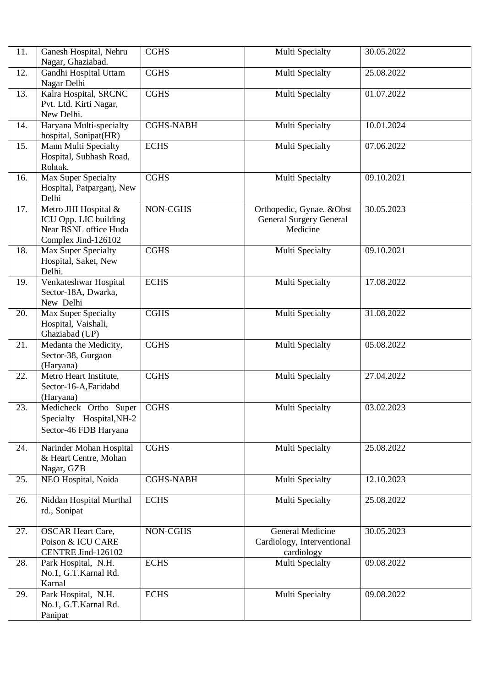| 11. | Ganesh Hospital, Nehru<br>Nagar, Ghaziabad.                                                   | <b>CGHS</b>      | Multi Specialty                                                         | 30.05.2022 |
|-----|-----------------------------------------------------------------------------------------------|------------------|-------------------------------------------------------------------------|------------|
| 12. | Gandhi Hospital Uttam<br>Nagar Delhi                                                          | <b>CGHS</b>      | Multi Specialty                                                         | 25.08.2022 |
| 13. | Kalra Hospital, SRCNC<br>Pvt. Ltd. Kirti Nagar,<br>New Delhi.                                 | <b>CGHS</b>      | Multi Specialty                                                         | 01.07.2022 |
| 14. | Haryana Multi-specialty<br>hospital, Sonipat(HR)                                              | <b>CGHS-NABH</b> | Multi Specialty                                                         | 10.01.2024 |
| 15. | Mann Multi Specialty<br>Hospital, Subhash Road,<br>Rohtak.                                    | <b>ECHS</b>      | Multi Specialty                                                         | 07.06.2022 |
| 16. | Max Super Specialty<br>Hospital, Patparganj, New<br>Delhi                                     | <b>CGHS</b>      | Multi Specialty                                                         | 09.10.2021 |
| 17. | Metro JHI Hospital &<br>ICU Opp. LIC building<br>Near BSNL office Huda<br>Complex Jind-126102 | NON-CGHS         | Orthopedic, Gynae. & Obst<br><b>General Surgery General</b><br>Medicine | 30.05.2023 |
| 18. | Max Super Specialty<br>Hospital, Saket, New<br>Delhi.                                         | <b>CGHS</b>      | Multi Specialty                                                         | 09.10.2021 |
| 19. | Venkateshwar Hospital<br>Sector-18A, Dwarka,<br>New Delhi                                     | <b>ECHS</b>      | Multi Specialty                                                         | 17.08.2022 |
| 20. | Max Super Specialty<br>Hospital, Vaishali,<br>Ghaziabad (UP)                                  | <b>CGHS</b>      | Multi Specialty                                                         | 31.08.2022 |
| 21. | Medanta the Medicity,<br>Sector-38, Gurgaon<br>(Haryana)                                      | <b>CGHS</b>      | Multi Specialty                                                         | 05.08.2022 |
| 22. | Metro Heart Institute,<br>Sector-16-A, Faridabd<br>(Haryana)                                  | <b>CGHS</b>      | Multi Specialty                                                         | 27.04.2022 |
| 23. | Medicheck Ortho Super<br>Specialty Hospital, NH-2<br>Sector-46 FDB Haryana                    | <b>CGHS</b>      | Multi Specialty                                                         | 03.02.2023 |
| 24. | Narinder Mohan Hospital<br>& Heart Centre, Mohan<br>Nagar, GZB                                | <b>CGHS</b>      | Multi Specialty                                                         | 25.08.2022 |
| 25. | NEO Hospital, Noida                                                                           | <b>CGHS-NABH</b> | Multi Specialty                                                         | 12.10.2023 |
| 26. | Niddan Hospital Murthal<br>rd., Sonipat                                                       | <b>ECHS</b>      | Multi Specialty                                                         | 25.08.2022 |
| 27. | <b>OSCAR Heart Care,</b><br>Poison & ICU CARE<br>CENTRE Jind-126102                           | NON-CGHS         | General Medicine<br>Cardiology, Interventional<br>cardiology            | 30.05.2023 |
| 28. | Park Hospital, N.H.<br>No.1, G.T.Karnal Rd.<br>Karnal                                         | <b>ECHS</b>      | Multi Specialty                                                         | 09.08.2022 |
| 29. | Park Hospital, N.H.<br>No.1, G.T.Karnal Rd.<br>Panipat                                        | <b>ECHS</b>      | Multi Specialty                                                         | 09.08.2022 |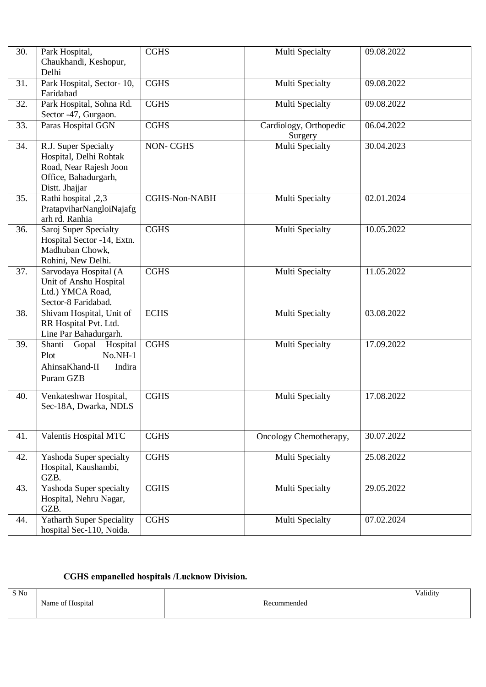| 30. | Park Hospital,<br>Chaukhandi, Keshopur,<br>Delhi                                                                   | <b>CGHS</b>          | Multi Specialty                   | 09.08.2022 |
|-----|--------------------------------------------------------------------------------------------------------------------|----------------------|-----------------------------------|------------|
| 31. | Park Hospital, Sector-10,<br>Faridabad                                                                             | <b>CGHS</b>          | Multi Specialty                   | 09.08.2022 |
| 32. | Park Hospital, Sohna Rd.<br>Sector -47, Gurgaon.                                                                   | <b>CGHS</b>          | Multi Specialty                   | 09.08.2022 |
| 33. | Paras Hospital GGN                                                                                                 | <b>CGHS</b>          | Cardiology, Orthopedic<br>Surgery | 06.04.2022 |
| 34. | R.J. Super Specialty<br>Hospital, Delhi Rohtak<br>Road, Near Rajesh Joon<br>Office, Bahadurgarh,<br>Distt. Jhajjar | <b>NON-CGHS</b>      | Multi Specialty                   | 30.04.2023 |
| 35. | Rathi hospital ,2,3<br>PratapviharNangloiNajafg<br>arh rd. Ranhia                                                  | <b>CGHS-Non-NABH</b> | Multi Specialty                   | 02.01.2024 |
| 36. | Saroj Super Specialty<br>Hospital Sector -14, Extn.<br>Madhuban Chowk,<br>Rohini, New Delhi.                       | <b>CGHS</b>          | Multi Specialty                   | 10.05.2022 |
| 37. | Sarvodaya Hospital (A<br>Unit of Anshu Hospital<br>Ltd.) YMCA Road,<br>Sector-8 Faridabad.                         | <b>CGHS</b>          | Multi Specialty                   | 11.05.2022 |
| 38. | Shivam Hospital, Unit of<br>RR Hospital Pvt. Ltd.<br>Line Par Bahadurgarh.                                         | <b>ECHS</b>          | Multi Specialty                   | 03.08.2022 |
| 39. | Shanti<br>Gopal<br>Hospital<br>Plot<br>$No.NH-1$<br>AhinsaKhand-II<br>Indira<br>Puram GZB                          | <b>CGHS</b>          | Multi Specialty                   | 17.09.2022 |
| 40. | Venkateshwar Hospital,<br>Sec-18A, Dwarka, NDLS                                                                    | <b>CGHS</b>          | Multi Specialty                   | 17.08.2022 |
| 41. | Valentis Hospital MTC                                                                                              | <b>CGHS</b>          | Oncology Chemotherapy,            | 30.07.2022 |
| 42. | Yashoda Super specialty<br>Hospital, Kaushambi,<br>GZB.                                                            | <b>CGHS</b>          | Multi Specialty                   | 25.08.2022 |
| 43. | Yashoda Super specialty<br>Hospital, Nehru Nagar,<br>GZB.                                                          | <b>CGHS</b>          | Multi Specialty                   | 29.05.2022 |
| 44. | <b>Yatharth Super Speciality</b><br>hospital Sec-110, Noida.                                                       | <b>CGHS</b>          | Multi Specialty                   | 07.02.2024 |

### **CGHS empanelled hospitals /Lucknow Division.**

| S No |                  |             | Validity |
|------|------------------|-------------|----------|
|      | Name of Hospital | Recommended |          |
|      |                  |             |          |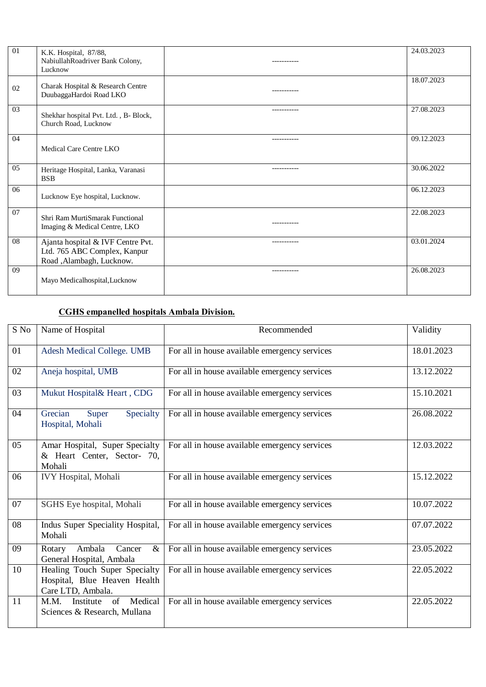| $\Omega$ | K.K. Hospital, 87/88,<br>NabiullahRoadriver Bank Colony,<br>Lucknow                           | -----------  | 24.03.2023 |
|----------|-----------------------------------------------------------------------------------------------|--------------|------------|
| 02       | Charak Hospital & Research Centre<br>DuubaggaHardoi Road LKO                                  | -----------  | 18.07.2023 |
| 03       | Shekhar hospital Pvt. Ltd., B- Block,<br>Church Road, Lucknow                                 | ----------   | 27.08.2023 |
| 04       | Medical Care Centre LKO                                                                       |              | 09.12.2023 |
| 05       | Heritage Hospital, Lanka, Varanasi<br><b>BSB</b>                                              | -----------  | 30.06.2022 |
| 06       | Lucknow Eye hospital, Lucknow.                                                                |              | 06.12.2023 |
| 07       | Shri Ram MurtiSmarak Functional<br>Imaging & Medical Centre, LKO                              | -----------  | 22.08.2023 |
| 08       | Ajanta hospital & IVF Centre Pvt.<br>Ltd. 765 ABC Complex, Kanpur<br>Road ,Alambagh, Lucknow. | ------------ | 03.01.2024 |
| 09       | Mayo Medicalhospital, Lucknow                                                                 | -----------  | 26.08.2023 |

### **CGHS empanelled hospitals Ambala Division.**

| S No | Name of Hospital                                                                   | Recommended                                   | Validity   |
|------|------------------------------------------------------------------------------------|-----------------------------------------------|------------|
| 01   | Adesh Medical College. UMB                                                         | For all in house available emergency services | 18.01.2023 |
| 02   | Aneja hospital, UMB                                                                | For all in house available emergency services | 13.12.2022 |
| 03   | Mukut Hospital& Heart, CDG                                                         | For all in house available emergency services | 15.10.2021 |
| 04   | Specialty<br>Grecian<br>Super<br>Hospital, Mohali                                  | For all in house available emergency services | 26.08.2022 |
| 05   | Amar Hospital, Super Specialty<br>& Heart Center, Sector- 70,<br>Mohali            | For all in house available emergency services | 12.03.2022 |
| 06   | <b>IVY Hospital</b> , Mohali                                                       | For all in house available emergency services | 15.12.2022 |
| 07   | SGHS Eye hospital, Mohali                                                          | For all in house available emergency services | 10.07.2022 |
| 08   | Indus Super Speciality Hospital,<br>Mohali                                         | For all in house available emergency services | 07.07.2022 |
| 09   | Ambala<br>Cancer<br>Rotary<br>$\&$<br>General Hospital, Ambala                     | For all in house available emergency services | 23.05.2022 |
| 10   | Healing Touch Super Specialty<br>Hospital, Blue Heaven Health<br>Care LTD, Ambala. | For all in house available emergency services | 22.05.2022 |
| 11   | M.M. Institute<br>of Medical<br>Sciences & Research, Mullana                       | For all in house available emergency services | 22.05.2022 |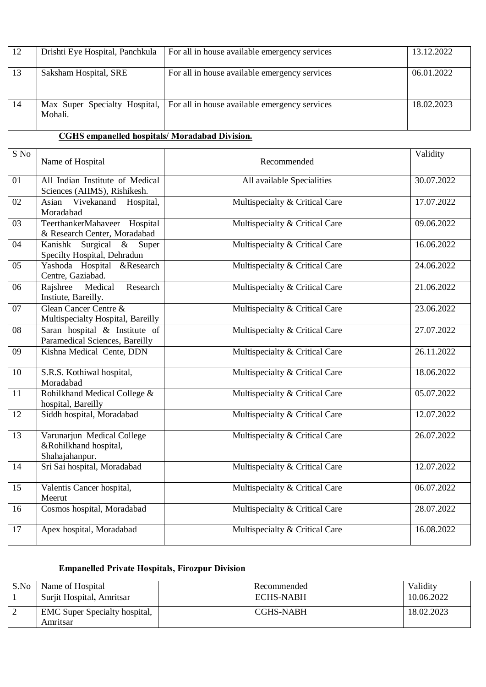| 12 | Drishti Eye Hospital, Panchkula | For all in house available emergency services                                 | 13.12.2022 |
|----|---------------------------------|-------------------------------------------------------------------------------|------------|
| 13 | Saksham Hospital, SRE           | For all in house available emergency services                                 | 06.01.2022 |
| 14 | Mohali.                         | Max Super Specialty Hospital,   For all in house available emergency services | 18.02.2023 |

## **CGHS empanelled hospitals/ Moradabad Division.**

| S No            | Name of Hospital                                                      | Recommended                    | Validity   |
|-----------------|-----------------------------------------------------------------------|--------------------------------|------------|
| 01              | All Indian Institute of Medical<br>Sciences (AIIMS), Rishikesh.       | All available Specialities     | 30.07.2022 |
| 02              | Vivekanand<br>Asian<br>Hospital,<br>Moradabad                         | Multispecialty & Critical Care | 17.07.2022 |
| 03              | TeerthankerMahaveer Hospital<br>& Research Center, Moradabad          | Multispecialty & Critical Care | 09.06.2022 |
| 04              | Kanishk Surgical & Super<br>Specilty Hospital, Dehradun               | Multispecialty & Critical Care | 16.06.2022 |
| $\overline{05}$ | Yashoda Hospital &Research<br>Centre, Gaziabad.                       | Multispecialty & Critical Care | 24.06.2022 |
| 06              | Research<br>Rajshree<br>Medical<br>Instiute, Bareilly.                | Multispecialty & Critical Care | 21.06.2022 |
| 07              | Glean Cancer Centre &<br>Multispecialty Hospital, Bareilly            | Multispecialty & Critical Care | 23.06.2022 |
| 08              | Saran hospital & Institute of<br>Paramedical Sciences, Bareilly       | Multispecialty & Critical Care | 27.07.2022 |
| $\overline{09}$ | Kishna Medical Cente, DDN                                             | Multispecialty & Critical Care | 26.11.2022 |
| 10              | S.R.S. Kothiwal hospital,<br>Moradabad                                | Multispecialty & Critical Care | 18.06.2022 |
| 11              | Rohilkhand Medical College &<br>hospital, Bareilly                    | Multispecialty & Critical Care | 05.07.2022 |
| 12              | Siddh hospital, Moradabad                                             | Multispecialty & Critical Care | 12.07.2022 |
| 13              | Varunarjun Medical College<br>&Rohilkhand hospital,<br>Shahajahanpur. | Multispecialty & Critical Care | 26.07.2022 |
| 14              | Sri Sai hospital, Moradabad                                           | Multispecialty & Critical Care | 12.07.2022 |
| $\overline{15}$ | Valentis Cancer hospital,<br>Meerut                                   | Multispecialty & Critical Care | 06.07.2022 |
| 16              | Cosmos hospital, Moradabad                                            | Multispecialty & Critical Care | 28.07.2022 |
| 17              | Apex hospital, Moradabad                                              | Multispecialty & Critical Care | 16.08.2022 |

## **Empanelled Private Hospitals, Firozpur Division**

| S.No | Name of Hospital                                 | Recommended | Validity   |
|------|--------------------------------------------------|-------------|------------|
|      | Surjit Hospital, Amritsar                        | ECHS-NABH   | 10.06.2022 |
|      | <b>EMC</b> Super Specialty hospital,<br>Amritsar | CGHS-NABH   | 18.02.2023 |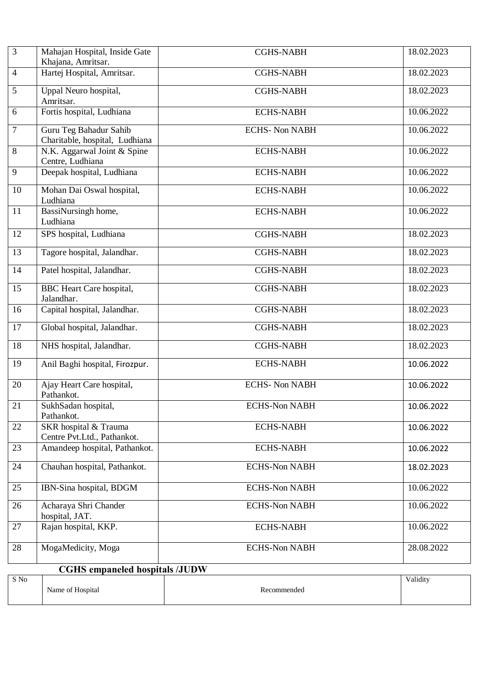| $\overline{3}$  | Mahajan Hospital, Inside Gate<br>Khajana, Amritsar.      | <b>CGHS-NABH</b>     | 18.02.2023 |
|-----------------|----------------------------------------------------------|----------------------|------------|
| $\overline{4}$  | Hartej Hospital, Amritsar.                               | <b>CGHS-NABH</b>     | 18.02.2023 |
| $\overline{5}$  | Uppal Neuro hospital,<br>Amritsar.                       | <b>CGHS-NABH</b>     | 18.02.2023 |
| 6               | Fortis hospital, Ludhiana                                | <b>ECHS-NABH</b>     | 10.06.2022 |
| $\overline{7}$  | Guru Teg Bahadur Sahib<br>Charitable, hospital, Ludhiana | <b>ECHS-Non NABH</b> | 10.06.2022 |
| $\overline{8}$  | N.K. Aggarwal Joint & Spine<br>Centre, Ludhiana          | <b>ECHS-NABH</b>     | 10.06.2022 |
| $\overline{9}$  | Deepak hospital, Ludhiana                                | <b>ECHS-NABH</b>     | 10.06.2022 |
| 10              | Mohan Dai Oswal hospital,<br>Ludhiana                    | <b>ECHS-NABH</b>     | 10.06.2022 |
| $\overline{11}$ | BassiNursingh home,<br>Ludhiana                          | <b>ECHS-NABH</b>     | 10.06.2022 |
| 12              | SPS hospital, Ludhiana                                   | <b>CGHS-NABH</b>     | 18.02.2023 |
| 13              | Tagore hospital, Jalandhar.                              | <b>CGHS-NABH</b>     | 18.02.2023 |
| 14              | Patel hospital, Jalandhar.                               | <b>CGHS-NABH</b>     | 18.02.2023 |
| 15              | <b>BBC</b> Heart Care hospital,<br>Jalandhar.            | <b>CGHS-NABH</b>     | 18.02.2023 |
| 16              | Capital hospital, Jalandhar.                             | <b>CGHS-NABH</b>     | 18.02.2023 |
| $\overline{17}$ | Global hospital, Jalandhar.                              | <b>CGHS-NABH</b>     | 18.02.2023 |
| 18              | NHS hospital, Jalandhar.                                 | <b>CGHS-NABH</b>     | 18.02.2023 |
| $\overline{19}$ | Anil Baghi hospital, Firozpur.                           | <b>ECHS-NABH</b>     | 10.06.2022 |
| 20              | Ajay Heart Care hospital,<br>Pathankot.                  | <b>ECHS-Non NABH</b> | 10.06.2022 |
| 21              | SukhSadan hospital,<br>Pathankot.                        | <b>ECHS-Non NABH</b> | 10.06.2022 |
| 22              | SKR hospital & Trauma<br>Centre Pvt.Ltd., Pathankot.     | <b>ECHS-NABH</b>     | 10.06.2022 |
| 23              | Amandeep hospital, Pathankot.                            | <b>ECHS-NABH</b>     | 10.06.2022 |
| 24              | Chauhan hospital, Pathankot.                             | <b>ECHS-Non NABH</b> | 18.02.2023 |
| 25              | IBN-Sina hospital, BDGM                                  | <b>ECHS-Non NABH</b> | 10.06.2022 |
| 26              | Acharaya Shri Chander<br>hospital, JAT.                  | <b>ECHS-Non NABH</b> | 10.06.2022 |
| 27              | Rajan hospital, KKP.                                     | <b>ECHS-NABH</b>     | 10.06.2022 |
| 28              | MogaMedicity, Moga                                       | <b>ECHS-Non NABH</b> | 28.08.2022 |
|                 | <b>CGHS</b> empaneled hospitals /JUDW                    |                      |            |
| $\mathbf S$ No  | Name of Hospital                                         | Recommended          | Validity   |